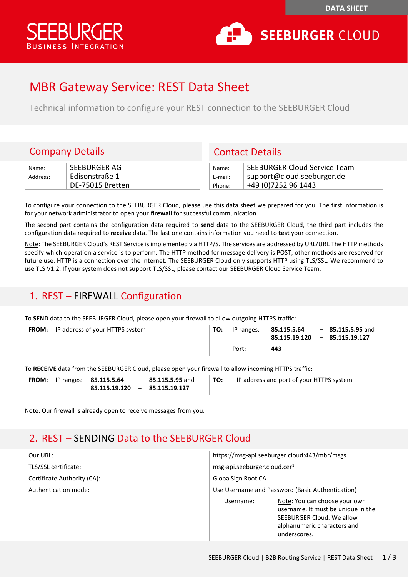



# MBR Gateway Service: REST Data Sheet

Technical information to configure your REST connection to the SEEBURGER Cloud

#### Company Details Contact Details

| Name:    | SEEBURGER AG     | Name:   | SEEBURGER Cloud Service Team |
|----------|------------------|---------|------------------------------|
| Address: | Edisonstraße 1   | E-mail: | support@cloud.seeburger.de > |
|          | DE-75015 Bretten | Phone:  | +49 (0)7252 96 1443          |

| Name:   | <b>SEEBURGER Cloud Service Team</b> |
|---------|-------------------------------------|
| E-mail: | support@cloud.seeburger.de          |
| Phone:  | +49 (0) 7252 96 1443                |

To configure your connection to the SEEBURGER Cloud, please use this data sheet we prepared for you. The first information is for your network administrator to open your **firewall** for successful communication.

The second part contains the configuration data required to **send** data to the SEEBURGER Cloud, the third part includes the configuration data required to **receive** data. The last one contains information you need to **test** your connection.

Note: The SEEBURGER Cloud's REST Service is implemented via HTTP/S. The services are addressed by URL/URI. The HTTP methods specify which operation a service is to perform. The HTTP method for message delivery is POST, other methods are reserved for future use. HTTP is a connection over the Internet. The SEEBURGER Cloud only supports HTTP using TLS/SSL. We recommend to use TLS V1.2. If your system does not support TLS/SSL, please contact our SEEBURGER Cloud Service Team.

#### 1. REST – FIREWALL Configuration

To **SEND** data to the SEEBURGER Cloud, please open your firewall to allow outgoing HTTPS traffic:

| <b>FROM:</b> IP address of your HTTPS system | TO: | IP ranges: | 85.115.5.64 | $-85.115.5.95$ and<br>85.115.19.120 - 85.115.19.127 |
|----------------------------------------------|-----|------------|-------------|-----------------------------------------------------|
|                                              |     | Port:      | 443         |                                                     |

To **RECEIVE** data from the SEEBURGER Cloud, please open your firewall to allow incoming HTTPS traffic: **85.115.5.95** and

**85.115.19.127**

| <b>FROM:</b> | IP ranges: 85.115.5.64 | - |
|--------------|------------------------|---|
|              | 85.115.19.120          | - |

**TO:** IP address and port of your HTTPS system

Note: Our firewall is already open to receive messages from you.

## 2. REST – SENDING Data to the SEEBURGER Cloud

| Our URL:                    | https://msg-api.seeburger.cloud:443/mbr/msgs     |                                                                                                                                                 |  |  |
|-----------------------------|--------------------------------------------------|-------------------------------------------------------------------------------------------------------------------------------------------------|--|--|
| TLS/SSL certificate:        | msg-api.seeburger.cloud.cer <sup>1</sup>         |                                                                                                                                                 |  |  |
| Certificate Authority (CA): | <b>GlobalSign Root CA</b>                        |                                                                                                                                                 |  |  |
| Authentication mode:        | Use Username and Password (Basic Authentication) |                                                                                                                                                 |  |  |
|                             | Username:                                        | Note: You can choose your own<br>username. It must be unique in the<br>SEEBURGER Cloud. We allow<br>alphanumeric characters and<br>underscores. |  |  |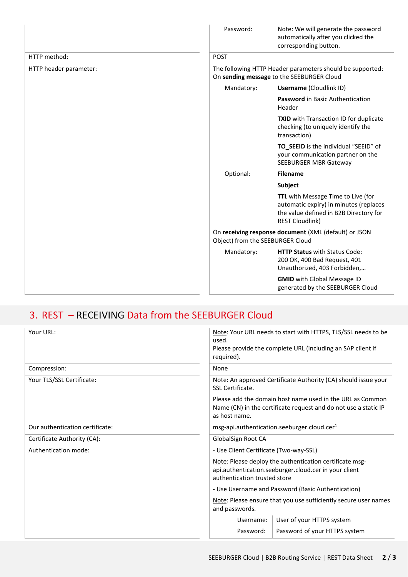|                        | Password:                                                                                              | Note: We will generate the password<br>automatically after you clicked the<br>corresponding button.                                              |  |
|------------------------|--------------------------------------------------------------------------------------------------------|--------------------------------------------------------------------------------------------------------------------------------------------------|--|
| HTTP method:           | <b>POST</b>                                                                                            |                                                                                                                                                  |  |
| HTTP header parameter: | The following HTTP Header parameters should be supported:<br>On sending message to the SEEBURGER Cloud |                                                                                                                                                  |  |
|                        | Mandatory:                                                                                             | <b>Username (Cloudlink ID)</b>                                                                                                                   |  |
|                        |                                                                                                        | Password in Basic Authentication<br>Header                                                                                                       |  |
|                        |                                                                                                        | TXID with Transaction ID for duplicate<br>checking (to uniquely identify the<br>transaction)                                                     |  |
|                        |                                                                                                        | TO_SEEID is the individual "SEEID" of<br>your communication partner on the<br>SEEBURGER MBR Gateway                                              |  |
|                        | Optional:                                                                                              | <b>Filename</b>                                                                                                                                  |  |
|                        |                                                                                                        | <b>Subject</b>                                                                                                                                   |  |
|                        |                                                                                                        | TTL with Message Time to Live (for<br>automatic expiry) in minutes (replaces<br>the value defined in B2B Directory for<br><b>REST Cloudlink)</b> |  |
|                        | On receiving response document (XML (default) or JSON<br>Object) from the SEEBURGER Cloud              |                                                                                                                                                  |  |
|                        | Mandatory:                                                                                             | <b>HTTP Status with Status Code:</b><br>200 OK, 400 Bad Request, 401<br>Unauthorized, 403 Forbidden,                                             |  |
|                        |                                                                                                        | <b>GMID</b> with Global Message ID<br>generated by the SEEBURGER Cloud                                                                           |  |

# 3. REST – RECEIVING Data from the SEEBURGER Cloud

| Your URL:                       | Note: Your URL needs to start with HTTPS, TLS/SSL needs to be<br>used.<br>Please provide the complete URL (including an SAP client if<br>required). |                               |  |  |
|---------------------------------|-----------------------------------------------------------------------------------------------------------------------------------------------------|-------------------------------|--|--|
| Compression:                    | None                                                                                                                                                |                               |  |  |
| Your TLS/SSL Certificate:       | Note: An approved Certificate Authority (CA) should issue your<br>SSL Certificate.                                                                  |                               |  |  |
|                                 | Please add the domain host name used in the URL as Common<br>Name (CN) in the certificate request and do not use a static IP<br>as host name.       |                               |  |  |
| Our authentication certificate: | msg-api.authentication.seeburger.cloud.cer <sup>1</sup>                                                                                             |                               |  |  |
| Certificate Authority (CA):     | GlobalSign Root CA                                                                                                                                  |                               |  |  |
| Authentication mode:            | - Use Client Certificate (Two-way-SSL)                                                                                                              |                               |  |  |
|                                 | Note: Please deploy the authentication certificate msg-<br>api.authentication.seeburger.cloud.cer in your client<br>authentication trusted store    |                               |  |  |
|                                 | - Use Username and Password (Basic Authentication)                                                                                                  |                               |  |  |
|                                 | Note: Please ensure that you use sufficiently secure user names<br>and passwords.                                                                   |                               |  |  |
|                                 | Username:                                                                                                                                           | User of your HTTPS system     |  |  |
|                                 | Password:                                                                                                                                           | Password of your HTTPS system |  |  |